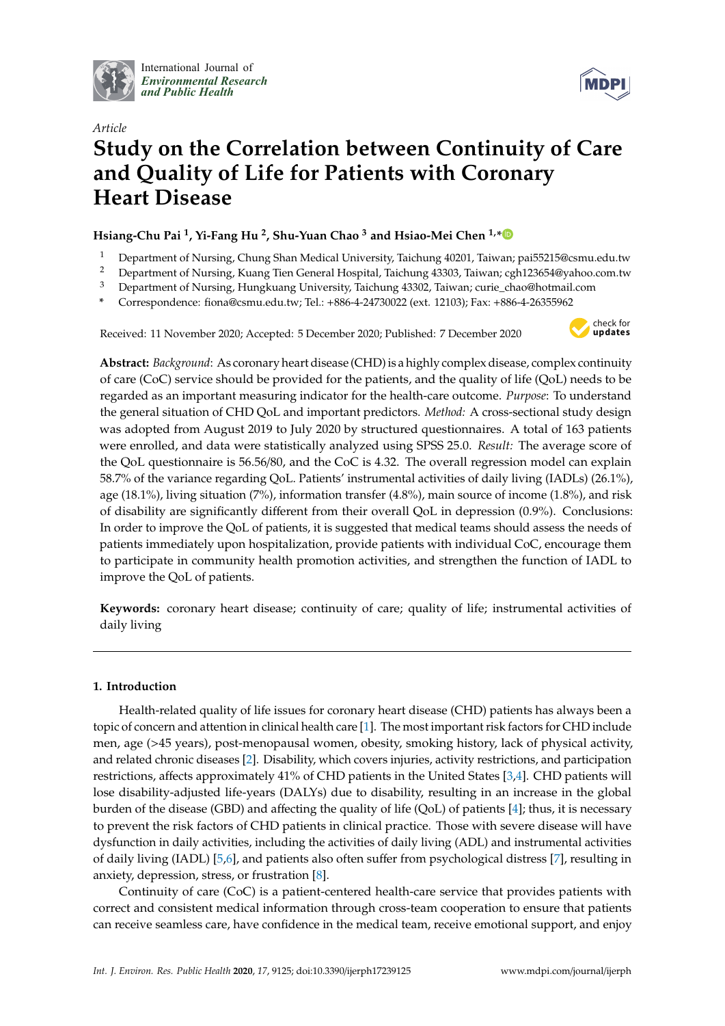

International Journal of *[Environmental Research](http://www.mdpi.com/journal/ijerph) and Public Health*



# *Article* **Study on the Correlation between Continuity of Care and Quality of Life for Patients with Coronary Heart Disease**

# **Hsiang-Chu Pai <sup>1</sup> , Yi-Fang Hu <sup>2</sup> , Shu-Yuan Chao <sup>3</sup> and Hsiao-Mei Chen 1,[\\*](https://orcid.org/0000-0003-4417-0442)**

- <sup>1</sup> Department of Nursing, Chung Shan Medical University, Taichung 40201, Taiwan; pai55215@csmu.edu.tw
- <sup>2</sup> Department of Nursing, Kuang Tien General Hospital, Taichung 43303, Taiwan; cgh123654@yahoo.com.tw<br><sup>3</sup> Department of Nursing, Hungkuang University, Taishung 42202, Taiwan, quris, shaq@hotmail.com.
- <sup>3</sup> Department of Nursing, Hungkuang University, Taichung 43302, Taiwan; curie\_chao@hotmail.com
- **\*** Correspondence: fiona@csmu.edu.tw; Tel.: +886-4-24730022 (ext. 12103); Fax: +886-4-26355962

Received: 11 November 2020; Accepted: 5 December 2020; Published: 7 December 2020



**Abstract:** *Background*: As coronary heart disease (CHD) is a highly complex disease, complex continuity of care (CoC) service should be provided for the patients, and the quality of life (QoL) needs to be regarded as an important measuring indicator for the health-care outcome. *Purpose*: To understand the general situation of CHD QoL and important predictors. *Method:* A cross-sectional study design was adopted from August 2019 to July 2020 by structured questionnaires. A total of 163 patients were enrolled, and data were statistically analyzed using SPSS 25.0. *Result:* The average score of the QoL questionnaire is 56.56/80, and the CoC is 4.32. The overall regression model can explain 58.7% of the variance regarding QoL. Patients' instrumental activities of daily living (IADLs) (26.1%), age (18.1%), living situation (7%), information transfer (4.8%), main source of income (1.8%), and risk of disability are significantly different from their overall QoL in depression (0.9%). Conclusions: In order to improve the QoL of patients, it is suggested that medical teams should assess the needs of patients immediately upon hospitalization, provide patients with individual CoC, encourage them to participate in community health promotion activities, and strengthen the function of IADL to improve the QoL of patients.

**Keywords:** coronary heart disease; continuity of care; quality of life; instrumental activities of daily living

# **1. Introduction**

Health-related quality of life issues for coronary heart disease (CHD) patients has always been a topic of concern and attention in clinical health care [\[1\]](#page-11-0). The most important risk factors for CHD include men, age (>45 years), post-menopausal women, obesity, smoking history, lack of physical activity, and related chronic diseases [\[2\]](#page-11-1). Disability, which covers injuries, activity restrictions, and participation restrictions, affects approximately 41% of CHD patients in the United States [\[3](#page-11-2)[,4\]](#page-11-3). CHD patients will lose disability-adjusted life-years (DALYs) due to disability, resulting in an increase in the global burden of the disease (GBD) and affecting the quality of life (QoL) of patients [\[4\]](#page-11-3); thus, it is necessary to prevent the risk factors of CHD patients in clinical practice. Those with severe disease will have dysfunction in daily activities, including the activities of daily living (ADL) and instrumental activities of daily living (IADL) [\[5](#page-11-4)[,6\]](#page-11-5), and patients also often suffer from psychological distress [\[7\]](#page-11-6), resulting in anxiety, depression, stress, or frustration [\[8\]](#page-12-0).

Continuity of care (CoC) is a patient-centered health-care service that provides patients with correct and consistent medical information through cross-team cooperation to ensure that patients can receive seamless care, have confidence in the medical team, receive emotional support, and enjoy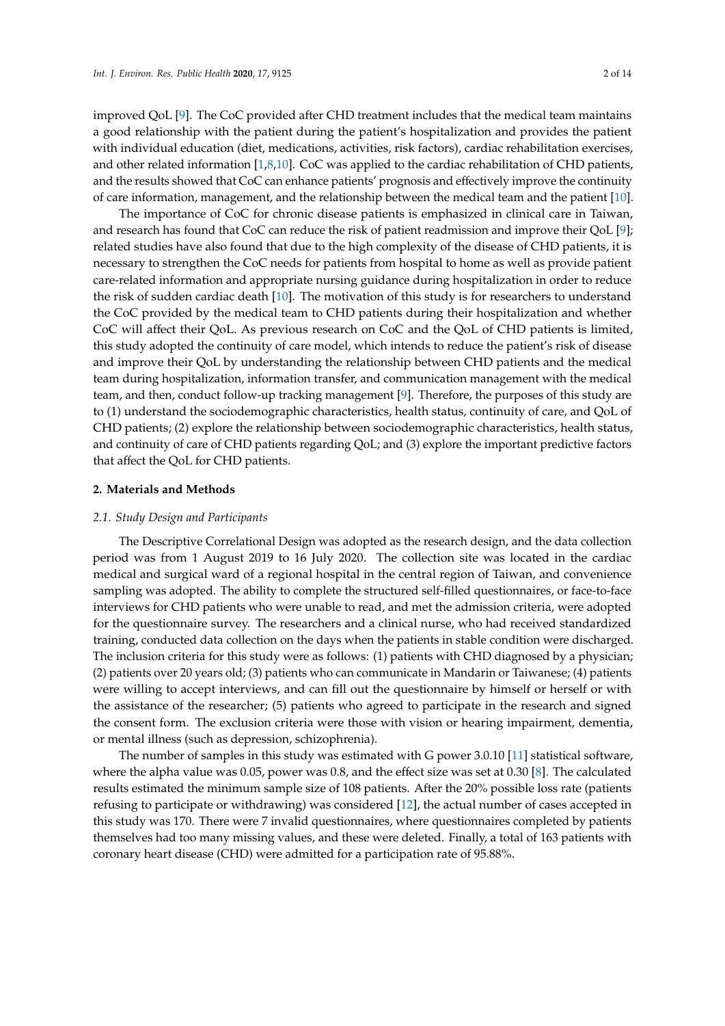improved QoL [\[9\]](#page-12-1). The CoC provided after CHD treatment includes that the medical team maintains a good relationship with the patient during the patient's hospitalization and provides the patient with individual education (diet, medications, activities, risk factors), cardiac rehabilitation exercises, and other related information [\[1](#page-11-0)[,8](#page-12-0)[,10\]](#page-12-2). CoC was applied to the cardiac rehabilitation of CHD patients, and the results showed that CoC can enhance patients' prognosis and effectively improve the continuity of care information, management, and the relationship between the medical team and the patient [\[10\]](#page-12-2).

The importance of CoC for chronic disease patients is emphasized in clinical care in Taiwan, and research has found that CoC can reduce the risk of patient readmission and improve their QoL [\[9\]](#page-12-1); related studies have also found that due to the high complexity of the disease of CHD patients, it is necessary to strengthen the CoC needs for patients from hospital to home as well as provide patient care-related information and appropriate nursing guidance during hospitalization in order to reduce the risk of sudden cardiac death [\[10\]](#page-12-2). The motivation of this study is for researchers to understand the CoC provided by the medical team to CHD patients during their hospitalization and whether CoC will affect their QoL. As previous research on CoC and the QoL of CHD patients is limited, this study adopted the continuity of care model, which intends to reduce the patient's risk of disease and improve their QoL by understanding the relationship between CHD patients and the medical team during hospitalization, information transfer, and communication management with the medical team, and then, conduct follow-up tracking management [\[9\]](#page-12-1). Therefore, the purposes of this study are to (1) understand the sociodemographic characteristics, health status, continuity of care, and QoL of CHD patients; (2) explore the relationship between sociodemographic characteristics, health status, and continuity of care of CHD patients regarding QoL; and (3) explore the important predictive factors that affect the QoL for CHD patients.

#### **2. Materials and Methods**

### *2.1. Study Design and Participants*

The Descriptive Correlational Design was adopted as the research design, and the data collection period was from 1 August 2019 to 16 July 2020. The collection site was located in the cardiac medical and surgical ward of a regional hospital in the central region of Taiwan, and convenience sampling was adopted. The ability to complete the structured self-filled questionnaires, or face-to-face interviews for CHD patients who were unable to read, and met the admission criteria, were adopted for the questionnaire survey. The researchers and a clinical nurse, who had received standardized training, conducted data collection on the days when the patients in stable condition were discharged. The inclusion criteria for this study were as follows: (1) patients with CHD diagnosed by a physician; (2) patients over 20 years old; (3) patients who can communicate in Mandarin or Taiwanese; (4) patients were willing to accept interviews, and can fill out the questionnaire by himself or herself or with the assistance of the researcher; (5) patients who agreed to participate in the research and signed the consent form. The exclusion criteria were those with vision or hearing impairment, dementia, or mental illness (such as depression, schizophrenia).

The number of samples in this study was estimated with G power 3.0.10 [\[11\]](#page-12-3) statistical software, where the alpha value was 0.05, power was 0.8, and the effect size was set at 0.30 [\[8\]](#page-12-0). The calculated results estimated the minimum sample size of 108 patients. After the 20% possible loss rate (patients refusing to participate or withdrawing) was considered [\[12\]](#page-12-4), the actual number of cases accepted in this study was 170. There were 7 invalid questionnaires, where questionnaires completed by patients themselves had too many missing values, and these were deleted. Finally, a total of 163 patients with coronary heart disease (CHD) were admitted for a participation rate of 95.88%.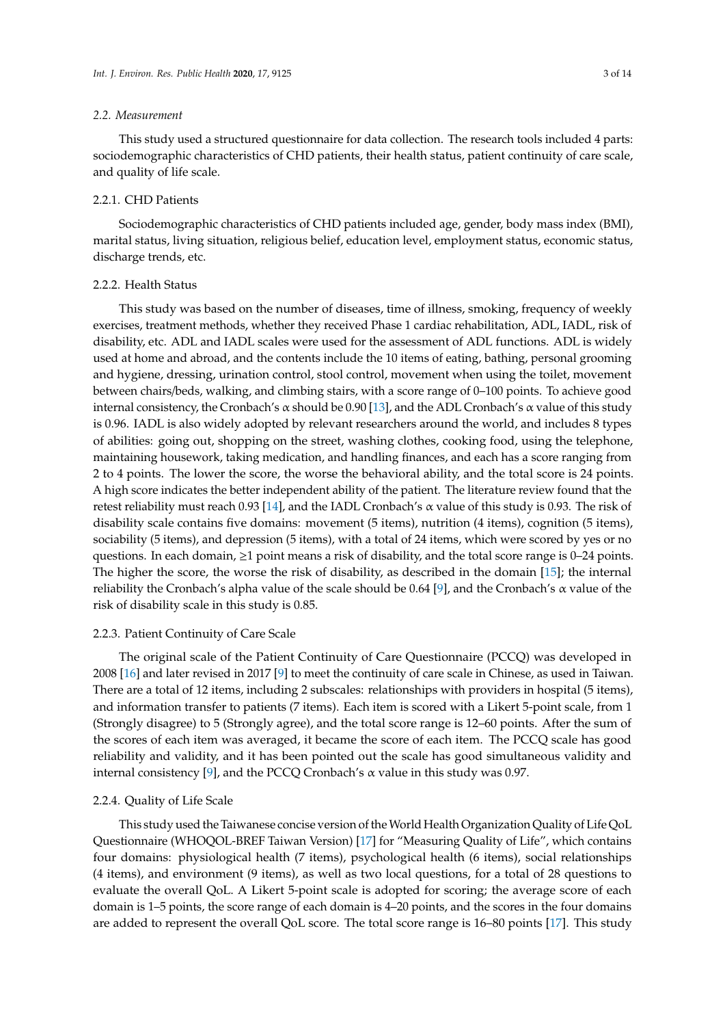#### *2.2. Measurement*

This study used a structured questionnaire for data collection. The research tools included 4 parts: sociodemographic characteristics of CHD patients, their health status, patient continuity of care scale, and quality of life scale.

#### 2.2.1. CHD Patients

Sociodemographic characteristics of CHD patients included age, gender, body mass index (BMI), marital status, living situation, religious belief, education level, employment status, economic status, discharge trends, etc.

#### 2.2.2. Health Status

This study was based on the number of diseases, time of illness, smoking, frequency of weekly exercises, treatment methods, whether they received Phase 1 cardiac rehabilitation, ADL, IADL, risk of disability, etc. ADL and IADL scales were used for the assessment of ADL functions. ADL is widely used at home and abroad, and the contents include the 10 items of eating, bathing, personal grooming and hygiene, dressing, urination control, stool control, movement when using the toilet, movement between chairs/beds, walking, and climbing stairs, with a score range of 0–100 points. To achieve good internal consistency, the Cronbach's  $\alpha$  should be 0.90 [\[13\]](#page-12-5), and the ADL Cronbach's  $\alpha$  value of this study is 0.96. IADL is also widely adopted by relevant researchers around the world, and includes 8 types of abilities: going out, shopping on the street, washing clothes, cooking food, using the telephone, maintaining housework, taking medication, and handling finances, and each has a score ranging from 2 to 4 points. The lower the score, the worse the behavioral ability, and the total score is 24 points. A high score indicates the better independent ability of the patient. The literature review found that the retest reliability must reach 0.93 [\[14\]](#page-12-6), and the IADL Cronbach's α value of this study is 0.93. The risk of disability scale contains five domains: movement (5 items), nutrition (4 items), cognition (5 items), sociability (5 items), and depression (5 items), with a total of 24 items, which were scored by yes or no questions. In each domain,  $\geq 1$  point means a risk of disability, and the total score range is 0–24 points. The higher the score, the worse the risk of disability, as described in the domain [\[15\]](#page-12-7); the internal reliability the Cronbach's alpha value of the scale should be 0.64 [\[9\]](#page-12-1), and the Cronbach's  $\alpha$  value of the risk of disability scale in this study is 0.85.

#### 2.2.3. Patient Continuity of Care Scale

The original scale of the Patient Continuity of Care Questionnaire (PCCQ) was developed in 2008 [\[16\]](#page-12-8) and later revised in 2017 [\[9\]](#page-12-1) to meet the continuity of care scale in Chinese, as used in Taiwan. There are a total of 12 items, including 2 subscales: relationships with providers in hospital (5 items), and information transfer to patients (7 items). Each item is scored with a Likert 5-point scale, from 1 (Strongly disagree) to 5 (Strongly agree), and the total score range is 12–60 points. After the sum of the scores of each item was averaged, it became the score of each item. The PCCQ scale has good reliability and validity, and it has been pointed out the scale has good simultaneous validity and internal consistency [\[9\]](#page-12-1), and the PCCQ Cronbach's  $\alpha$  value in this study was 0.97.

#### 2.2.4. Quality of Life Scale

This study used the Taiwanese concise version of theWorld Health Organization Quality of Life QoL Questionnaire (WHOQOL-BREF Taiwan Version) [\[17\]](#page-12-9) for "Measuring Quality of Life", which contains four domains: physiological health (7 items), psychological health (6 items), social relationships (4 items), and environment (9 items), as well as two local questions, for a total of 28 questions to evaluate the overall QoL. A Likert 5-point scale is adopted for scoring; the average score of each domain is 1–5 points, the score range of each domain is 4–20 points, and the scores in the four domains are added to represent the overall QoL score. The total score range is 16–80 points [\[17\]](#page-12-9). This study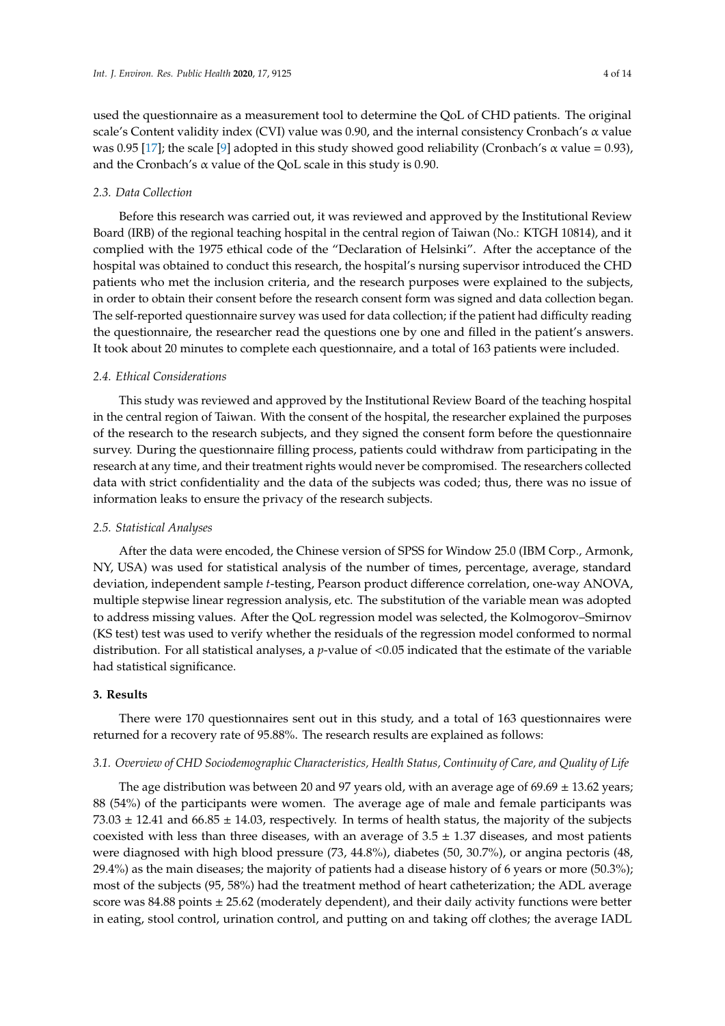used the questionnaire as a measurement tool to determine the QoL of CHD patients. The original scale's Content validity index (CVI) value was 0.90, and the internal consistency Cronbach's α value was 0.95 [\[17\]](#page-12-9); the scale [\[9\]](#page-12-1) adopted in this study showed good reliability (Cronbach's  $\alpha$  value = 0.93), and the Cronbach's  $\alpha$  value of the QoL scale in this study is 0.90.

# *2.3. Data Collection*

Before this research was carried out, it was reviewed and approved by the Institutional Review Board (IRB) of the regional teaching hospital in the central region of Taiwan (No.: KTGH 10814), and it complied with the 1975 ethical code of the "Declaration of Helsinki". After the acceptance of the hospital was obtained to conduct this research, the hospital's nursing supervisor introduced the CHD patients who met the inclusion criteria, and the research purposes were explained to the subjects, in order to obtain their consent before the research consent form was signed and data collection began. The self-reported questionnaire survey was used for data collection; if the patient had difficulty reading the questionnaire, the researcher read the questions one by one and filled in the patient's answers. It took about 20 minutes to complete each questionnaire, and a total of 163 patients were included.

# *2.4. Ethical Considerations*

This study was reviewed and approved by the Institutional Review Board of the teaching hospital in the central region of Taiwan. With the consent of the hospital, the researcher explained the purposes of the research to the research subjects, and they signed the consent form before the questionnaire survey. During the questionnaire filling process, patients could withdraw from participating in the research at any time, and their treatment rights would never be compromised. The researchers collected data with strict confidentiality and the data of the subjects was coded; thus, there was no issue of information leaks to ensure the privacy of the research subjects.

# *2.5. Statistical Analyses*

After the data were encoded, the Chinese version of SPSS for Window 25.0 (IBM Corp., Armonk, NY, USA) was used for statistical analysis of the number of times, percentage, average, standard deviation, independent sample *t*-testing, Pearson product difference correlation, one-way ANOVA, multiple stepwise linear regression analysis, etc. The substitution of the variable mean was adopted to address missing values. After the QoL regression model was selected, the Kolmogorov–Smirnov (KS test) test was used to verify whether the residuals of the regression model conformed to normal distribution. For all statistical analyses, a *p*-value of <0.05 indicated that the estimate of the variable had statistical significance.

# **3. Results**

There were 170 questionnaires sent out in this study, and a total of 163 questionnaires were returned for a recovery rate of 95.88%. The research results are explained as follows:

# *3.1. Overview of CHD Sociodemographic Characteristics, Health Status, Continuity of Care, and Quality of Life*

The age distribution was between 20 and 97 years old, with an average age of 69.69  $\pm$  13.62 years; 88 (54%) of the participants were women. The average age of male and female participants was  $73.03 \pm 12.41$  and  $66.85 \pm 14.03$ , respectively. In terms of health status, the majority of the subjects coexisted with less than three diseases, with an average of  $3.5 \pm 1.37$  diseases, and most patients were diagnosed with high blood pressure (73, 44.8%), diabetes (50, 30.7%), or angina pectoris (48, 29.4%) as the main diseases; the majority of patients had a disease history of 6 years or more (50.3%); most of the subjects (95, 58%) had the treatment method of heart catheterization; the ADL average score was  $84.88$  points  $\pm 25.62$  (moderately dependent), and their daily activity functions were better in eating, stool control, urination control, and putting on and taking off clothes; the average IADL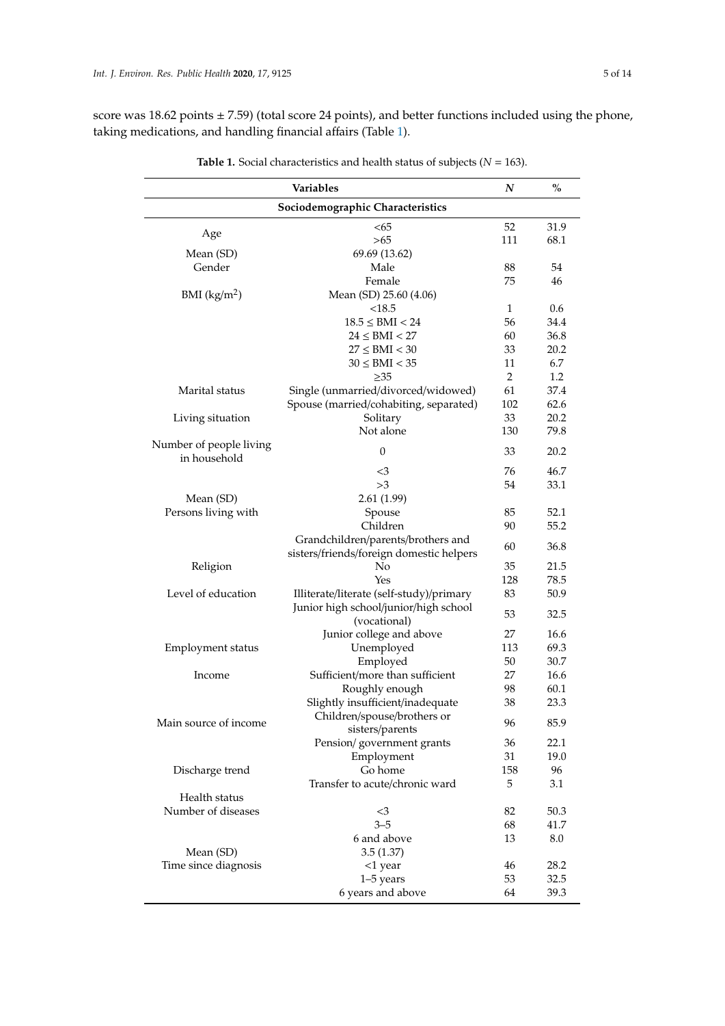score was 18.62 points  $\pm$  7.59) (total score 24 points), and better functions included using the phone, taking medications, and handling financial affairs (Table [1\)](#page-5-0).

|                                         | N                                                     | $\%$           |      |  |  |
|-----------------------------------------|-------------------------------------------------------|----------------|------|--|--|
| Sociodemographic Characteristics        |                                                       |                |      |  |  |
|                                         | $<$ 65                                                | 52             | 31.9 |  |  |
| Age                                     | >65                                                   | 111            | 68.1 |  |  |
| Mean (SD)                               | 69.69 (13.62)                                         |                |      |  |  |
| Gender                                  | Male                                                  | 88             | 54   |  |  |
|                                         | Female                                                | 75             | 46   |  |  |
| BMI (kg/m <sup>2</sup> )                | Mean (SD) 25.60 (4.06)                                |                |      |  |  |
|                                         | <18.5                                                 | 1              | 0.6  |  |  |
|                                         | $18.5 \leq BMI < 24$                                  | 56             | 34.4 |  |  |
|                                         | $24 \leq BMI < 27$                                    | 60             | 36.8 |  |  |
|                                         | $27 \leq BMI < 30$                                    | 33             | 20.2 |  |  |
|                                         | $30 \leq BMI < 35$                                    | 11             | 6.7  |  |  |
|                                         | $\geq 35$                                             | $\overline{2}$ | 1.2  |  |  |
| Marital status                          | Single (unmarried/divorced/widowed)                   | 61             | 37.4 |  |  |
|                                         | Spouse (married/cohabiting, separated)                | 102            | 62.6 |  |  |
| Living situation                        | Solitary                                              | 33             | 20.2 |  |  |
|                                         | Not alone                                             | 130            | 79.8 |  |  |
| Number of people living<br>in household | $\mathbf{0}$                                          | 33             | 20.2 |  |  |
|                                         | $<$ 3                                                 | 76             | 46.7 |  |  |
|                                         | >3                                                    | 54             | 33.1 |  |  |
| Mean (SD)                               | 2.61 (1.99)                                           |                |      |  |  |
| Persons living with                     | Spouse                                                | 85             | 52.1 |  |  |
|                                         | Children                                              | 90             | 55.2 |  |  |
|                                         | Grandchildren/parents/brothers and                    |                |      |  |  |
|                                         | sisters/friends/foreign domestic helpers              | 60             | 36.8 |  |  |
| Religion                                | No                                                    | 35             | 21.5 |  |  |
|                                         | Yes                                                   | 128            | 78.5 |  |  |
| Level of education                      | Illiterate/literate (self-study)/primary              | 83             | 50.9 |  |  |
|                                         | Junior high school/junior/high school<br>(vocational) | 53             | 32.5 |  |  |
|                                         | Junior college and above                              | 27             | 16.6 |  |  |
| Employment status                       | Unemployed                                            | 113            | 69.3 |  |  |
|                                         | Employed                                              | 50             | 30.7 |  |  |
| Income                                  | Sufficient/more than sufficient                       | 27             | 16.6 |  |  |
|                                         | Roughly enough                                        | 98             | 60.1 |  |  |
|                                         | Slightly insufficient/inadequate                      | 38             | 23.3 |  |  |
| Main source of income                   | Children/spouse/brothers or<br>sisters/parents        | 96             | 85.9 |  |  |
|                                         | Pension/government grants                             | 36             | 22.1 |  |  |
|                                         | Employment                                            | 31             | 19.0 |  |  |
| Discharge trend                         | Go home                                               | 158            | 96   |  |  |
|                                         | Transfer to acute/chronic ward                        | 5              | 3.1  |  |  |
| Health status                           |                                                       |                |      |  |  |
| Number of diseases                      | $<$ 3                                                 | 82             | 50.3 |  |  |
|                                         | $3 - 5$                                               | 68             | 41.7 |  |  |
|                                         | 6 and above                                           | 13             | 8.0  |  |  |
|                                         |                                                       |                |      |  |  |
| Mean (SD)                               | 3.5(1.37)                                             | 46             | 28.2 |  |  |
| Time since diagnosis                    | <1 year                                               |                |      |  |  |
|                                         | $1-5$ years                                           | 53             | 32.5 |  |  |
|                                         | 6 years and above                                     | 64             | 39.3 |  |  |

**Table 1.** Social characteristics and health status of subjects ( $N = 163$ ).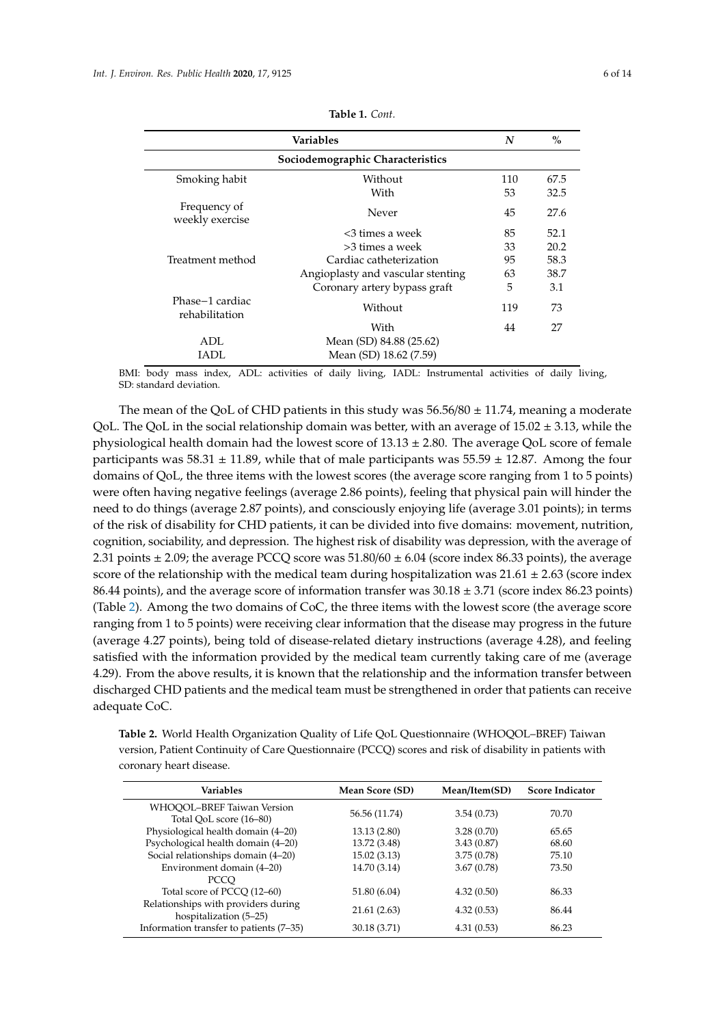<span id="page-5-0"></span>

|                                   | <b>Variables</b>                  |     |      |  |  |  |  |  |
|-----------------------------------|-----------------------------------|-----|------|--|--|--|--|--|
|                                   | Sociodemographic Characteristics  |     |      |  |  |  |  |  |
| Smoking habit                     | Without                           |     |      |  |  |  |  |  |
|                                   | With                              | 53  | 32.5 |  |  |  |  |  |
| Frequency of<br>weekly exercise   | Never                             | 45  | 27.6 |  |  |  |  |  |
|                                   | $<$ 3 times a week                | 85  | 52.1 |  |  |  |  |  |
|                                   | $>3$ times a week                 | 33  | 20.2 |  |  |  |  |  |
| Treatment method                  | Cardiac catheterization           | 95  | 58.3 |  |  |  |  |  |
|                                   | Angioplasty and vascular stenting | 63  | 38.7 |  |  |  |  |  |
|                                   | Coronary artery bypass graft      | 5   | 3.1  |  |  |  |  |  |
| Phase-1 cardiac<br>rehabilitation | Without                           | 119 | 73   |  |  |  |  |  |
|                                   | With                              | 44  | 27   |  |  |  |  |  |
| ADL                               | Mean (SD) 84.88 (25.62)           |     |      |  |  |  |  |  |
| IADL                              | Mean (SD) 18.62 (7.59)            |     |      |  |  |  |  |  |

**Table 1.** *Cont.*

BMI: body mass index, ADL: activities of daily living, IADL: Instrumental activities of daily living, SD: standard deviation.

The mean of the QoL of CHD patients in this study was  $56.56/80 \pm 11.74$ , meaning a moderate QoL. The QoL in the social relationship domain was better, with an average of  $15.02 \pm 3.13$ , while the physiological health domain had the lowest score of  $13.13 \pm 2.80$ . The average QoL score of female participants was 58.31  $\pm$  11.89, while that of male participants was 55.59  $\pm$  12.87. Among the four domains of QoL, the three items with the lowest scores (the average score ranging from 1 to 5 points) were often having negative feelings (average 2.86 points), feeling that physical pain will hinder the need to do things (average 2.87 points), and consciously enjoying life (average 3.01 points); in terms of the risk of disability for CHD patients, it can be divided into five domains: movement, nutrition, cognition, sociability, and depression. The highest risk of disability was depression, with the average of 2.31 points  $\pm$  2.09; the average PCCQ score was 51.80/60  $\pm$  6.04 (score index 86.33 points), the average score of the relationship with the medical team during hospitalization was  $21.61 \pm 2.63$  (score index 86.44 points), and the average score of information transfer was  $30.18 \pm 3.71$  (score index 86.23 points) (Table [2\)](#page-6-0). Among the two domains of CoC, the three items with the lowest score (the average score ranging from 1 to 5 points) were receiving clear information that the disease may progress in the future (average 4.27 points), being told of disease-related dietary instructions (average 4.28), and feeling satisfied with the information provided by the medical team currently taking care of me (average 4.29). From the above results, it is known that the relationship and the information transfer between discharged CHD patients and the medical team must be strengthened in order that patients can receive adequate CoC.

**Table 2.** World Health Organization Quality of Life QoL Questionnaire (WHOQOL–BREF) Taiwan version, Patient Continuity of Care Questionnaire (PCCQ) scores and risk of disability in patients with coronary heart disease.

| <b>Variables</b>                                              | Mean Score (SD) |               | <b>Score Indicator</b> |
|---------------------------------------------------------------|-----------------|---------------|------------------------|
|                                                               |                 | Mean/Item(SD) |                        |
| WHOOOL-BREF Taiwan Version<br>Total OoL score (16–80)         | 56.56 (11.74)   | 3.54(0.73)    | 70.70                  |
| Physiological health domain (4-20)                            | 13.13(2.80)     | 3.28(0.70)    | 65.65                  |
| Psychological health domain (4-20)                            | 13.72 (3.48)    | 3.43(0.87)    | 68.60                  |
| Social relationships domain (4-20)                            | 15.02(3.13)     | 3.75(0.78)    | 75.10                  |
| Environment domain (4-20)                                     | 14.70 (3.14)    | 3.67(0.78)    | 73.50                  |
| <b>PCCO</b>                                                   |                 |               |                        |
| Total score of PCCQ (12–60)                                   | 51.80 (6.04)    | 4.32(0.50)    | 86.33                  |
| Relationships with providers during<br>hospitalization (5–25) | 21.61 (2.63)    | 4.32(0.53)    | 86.44                  |
| Information transfer to patients (7-35)                       | 30.18 (3.71)    | 4.31(0.53)    | 86.23                  |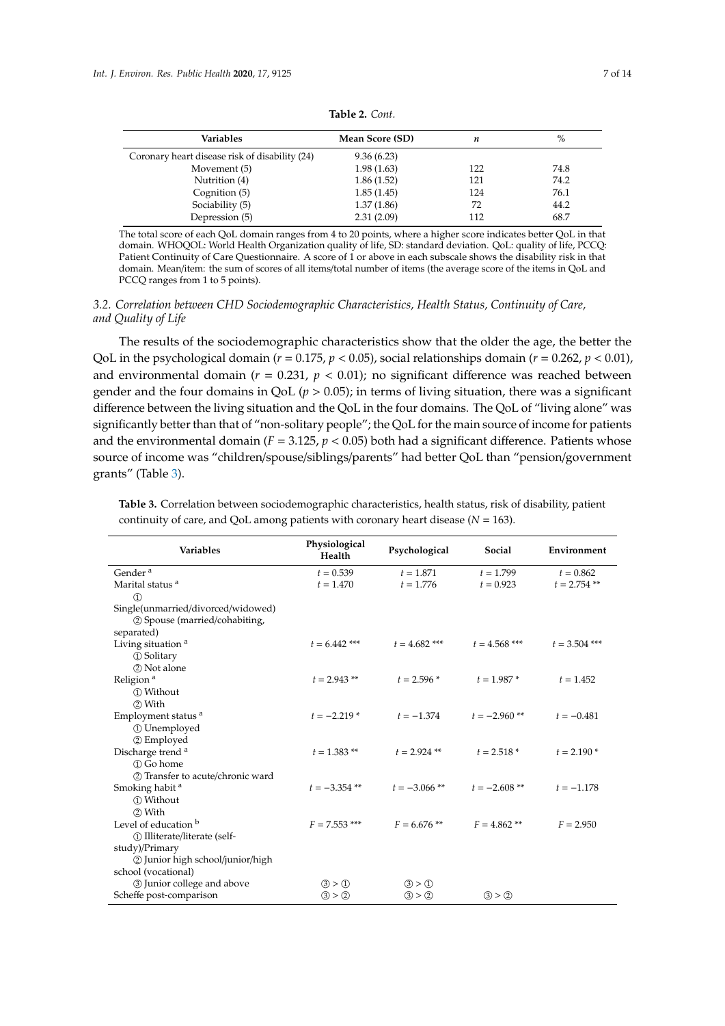<span id="page-6-0"></span>

| Variables                                      | Mean Score (SD) | n   | $\%$ |
|------------------------------------------------|-----------------|-----|------|
| Coronary heart disease risk of disability (24) | 9.36(6.23)      |     |      |
| Movement (5)                                   | 1.98(1.63)      | 122 | 74.8 |
| Nutrition (4)                                  | 1.86(1.52)      | 121 | 74.2 |
| Cognition (5)                                  | 1.85(1.45)      | 124 | 76.1 |
| Sociability (5)                                | 1.37(1.86)      | 72  | 44.2 |
| Depression (5)                                 | 2.31(2.09)      | 112 | 68.7 |

**Table 2.** *Cont.*

The total score of each QoL domain ranges from 4 to 20 points, where a higher score indicates better QoL in that domain. WHOQOL: World Health Organization quality of life, SD: standard deviation. QoL: quality of life, PCCQ: Patient Continuity of Care Questionnaire. A score of 1 or above in each subscale shows the disability risk in that domain. Mean/item: the sum of scores of all items/total number of items (the average score of the items in QoL and PCCQ ranges from 1 to 5 points).

*3.2. Correlation between CHD Sociodemographic Characteristics, Health Status, Continuity of Care, and Quality of Life*

The results of the sociodemographic characteristics show that the older the age, the better the QoL in the psychological domain ( $r = 0.175$ ,  $p < 0.05$ ), social relationships domain ( $r = 0.262$ ,  $p < 0.01$ ), and environmental domain ( $r = 0.231$ ,  $p < 0.01$ ); no significant difference was reached between gender and the four domains in QoL ( $p > 0.05$ ); in terms of living situation, there was a significant difference between the living situation and the QoL in the four domains. The QoL of "living alone" was significantly better than that of "non-solitary people"; the QoL for the main source of income for patients and the environmental domain ( $F = 3.125$ ,  $p < 0.05$ ) both had a significant difference. Patients whose source of income was "children/spouse/siblings/parents" had better QoL than "pension/government grants" (Table [3\)](#page-7-0).

| <b>Variables</b>                                        | Physiological<br>Health | Psychological                                   | Social                       | Environment     |
|---------------------------------------------------------|-------------------------|-------------------------------------------------|------------------------------|-----------------|
| Gender <sup>a</sup>                                     | $t = 0.539$             | $t = 1.871$                                     | $t = 1.799$                  | $t = 0.862$     |
| Marital status <sup>a</sup>                             | $t = 1.470$             | $t = 1.776$                                     | $t = 0.923$                  | $t = 2.754$ **  |
| $\circled{1}$                                           |                         |                                                 |                              |                 |
| Single(unmarried/divorced/widowed)                      |                         |                                                 |                              |                 |
| 2 Spouse (married/cohabiting,                           |                         |                                                 |                              |                 |
| separated)                                              |                         |                                                 |                              |                 |
| Living situation <sup>a</sup>                           | $t = 6.442$ ***         | $t = 4.682$ ***                                 | $t = 4.568$ ***              | $t = 3.504$ *** |
| (1) Solitary                                            |                         |                                                 |                              |                 |
| (2) Not alone                                           |                         |                                                 |                              |                 |
| Religion <sup>a</sup>                                   | $t = 2.943$ **          | $t = 2.596$ *                                   | $t = 1.987*$                 | $t = 1.452$     |
| (1) Without                                             |                         |                                                 |                              |                 |
| (2) With                                                |                         |                                                 |                              |                 |
| Employment status <sup>a</sup>                          | $t = -2.219$ *          |                                                 | $t = -1.374$ $t = -2.960$ ** | $t = -0.481$    |
| 1 Unemployed                                            |                         |                                                 |                              |                 |
| 2 Employed                                              |                         |                                                 |                              |                 |
| Discharge trend <sup>a</sup>                            | $t = 1.383$ **          | $t = 2.924$ **                                  | $t = 2.518*$                 | $t = 2.190*$    |
| (1) Go home                                             |                         |                                                 |                              |                 |
| 2 Transfer to acute/chronic ward                        |                         |                                                 |                              |                 |
| Smoking habit <sup>a</sup>                              |                         | $t = -3.354$ ** $t = -3.066$ ** $t = -2.608$ ** |                              | $t = -1.178$    |
| (1) Without                                             |                         |                                                 |                              |                 |
| (2) With                                                |                         |                                                 |                              |                 |
| Level of education b                                    | $F = 7.553$ ***         | $F = 6.676$ ** $F = 4.862$ **                   |                              | $F = 2.950$     |
| 1 Illiterate/literate (self-                            |                         |                                                 |                              |                 |
| study)/Primary                                          |                         |                                                 |                              |                 |
| 2 Junior high school/junior/high<br>school (vocational) |                         |                                                 |                              |                 |
| 3 Junior college and above                              | (3) > (1)               | (3) > (1)                                       |                              |                 |
|                                                         |                         |                                                 |                              |                 |
| Scheffe post-comparison                                 | (3) > (2)               | (3) > (2)                                       | (3) > (2)                    |                 |

**Table 3.** Correlation between sociodemographic characteristics, health status, risk of disability, patient continuity of care, and QoL among patients with coronary heart disease  $(N = 163)$ .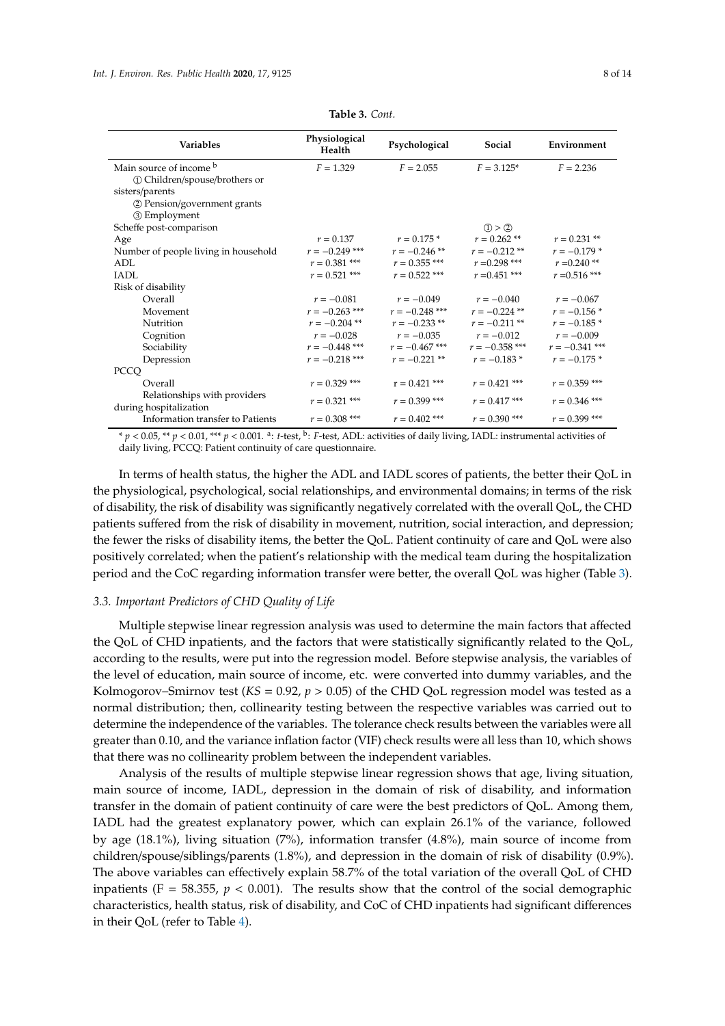<span id="page-7-0"></span>

| <b>Variables</b>                                       | Physiological<br>Health | Psychological    | Social           | Environment      |
|--------------------------------------------------------|-------------------------|------------------|------------------|------------------|
| Main source of income b                                | $F = 1.329$             | $F = 2.055$      | $F = 3.125*$     | $F = 2.236$      |
| ① Children/spouse/brothers or                          |                         |                  |                  |                  |
| sisters/parents                                        |                         |                  |                  |                  |
| 2 Pension/government grants                            |                         |                  |                  |                  |
| <b>3</b> Employment                                    |                         |                  |                  |                  |
| Scheffe post-comparison                                |                         |                  | (1) > (2)        |                  |
| Age                                                    | $r = 0.137$             | $r = 0.175$ *    | $r = 0.262$ **   | $r = 0.231$ **   |
| Number of people living in household                   | $r = -0.249$ ***        | $r = -0.246$ **  | $r = -0.212$ **  | $r = -0.179*$    |
| ADL                                                    | $r = 0.381$ ***         | $r = 0.355$ ***  | $r = 0.298$ ***  | $r = 0.240$ **   |
| <b>IADL</b>                                            | $r = 0.521$ ***         | $r = 0.522$ ***  | $r = 0.451$ ***  | $r = 0.516$ ***  |
| Risk of disability                                     |                         |                  |                  |                  |
| Overall                                                | $r = -0.081$            | $r = -0.049$     | $r = -0.040$     | $r = -0.067$     |
| Movement                                               | $r = -0.263$ ***        | $r = -0.248$ *** | $r = -0.224$ **  | $r = -0.156*$    |
| Nutrition                                              | $r = -0.204$ **         | $r = -0.233$ **  | $r = -0.211$ **  | $r = -0.185*$    |
| Cognition                                              | $r = -0.028$            | $r = -0.035$     | $r = -0.012$     | $r = -0.009$     |
| Sociability                                            | $r = -0.448$ ***        | $r = -0.467$ *** | $r = -0.358$ *** | $r = -0.341$ *** |
| Depression                                             | $r = -0.218$ ***        | $r = -0.221$ **  | $r = -0.183$ *   | $r = -0.175*$    |
| PCCQ                                                   |                         |                  |                  |                  |
| Overall                                                | $r = 0.329$ ***         | $r = 0.421$ ***  | $r = 0.421$ ***  | $r = 0.359$ ***  |
| Relationships with providers<br>during hospitalization | $r = 0.321$ ***         | $r = 0.399$ ***  | $r = 0.417$ ***  | $r = 0.346$ ***  |
| Information transfer to Patients                       | $r = 0.308$ ***         | $r = 0.402$ ***  | $r = 0.390$ ***  | $r = 0.399$ ***  |

**Table 3.** *Cont.*

\* *p* < 0.05, \*\* *p* < 0.01, \*\*\* *p* < 0.001. <sup>a</sup>: *t*-test, <sup>b</sup>: *F*-test, ADL: activities of daily living, IADL: instrumental activities of daily living, PCCQ: Patient continuity of care questionnaire.

In terms of health status, the higher the ADL and IADL scores of patients, the better their QoL in the physiological, psychological, social relationships, and environmental domains; in terms of the risk of disability, the risk of disability was significantly negatively correlated with the overall QoL, the CHD patients suffered from the risk of disability in movement, nutrition, social interaction, and depression; the fewer the risks of disability items, the better the QoL. Patient continuity of care and QoL were also positively correlated; when the patient's relationship with the medical team during the hospitalization period and the CoC regarding information transfer were better, the overall QoL was higher (Table [3\)](#page-7-0).

# *3.3. Important Predictors of CHD Quality of Life*

Multiple stepwise linear regression analysis was used to determine the main factors that affected the QoL of CHD inpatients, and the factors that were statistically significantly related to the QoL, according to the results, were put into the regression model. Before stepwise analysis, the variables of the level of education, main source of income, etc. were converted into dummy variables, and the Kolmogorov–Smirnov test ( $KS = 0.92$ ,  $p > 0.05$ ) of the CHD QoL regression model was tested as a normal distribution; then, collinearity testing between the respective variables was carried out to determine the independence of the variables. The tolerance check results between the variables were all greater than 0.10, and the variance inflation factor (VIF) check results were all less than 10, which shows that there was no collinearity problem between the independent variables.

Analysis of the results of multiple stepwise linear regression shows that age, living situation, main source of income, IADL, depression in the domain of risk of disability, and information transfer in the domain of patient continuity of care were the best predictors of QoL. Among them, IADL had the greatest explanatory power, which can explain 26.1% of the variance, followed by age (18.1%), living situation (7%), information transfer (4.8%), main source of income from children/spouse/siblings/parents (1.8%), and depression in the domain of risk of disability (0.9%). The above variables can effectively explain 58.7% of the total variation of the overall QoL of CHD inpatients ( $F = 58.355$ ,  $p < 0.001$ ). The results show that the control of the social demographic characteristics, health status, risk of disability, and CoC of CHD inpatients had significant differences in their QoL (refer to Table [4\)](#page-8-0).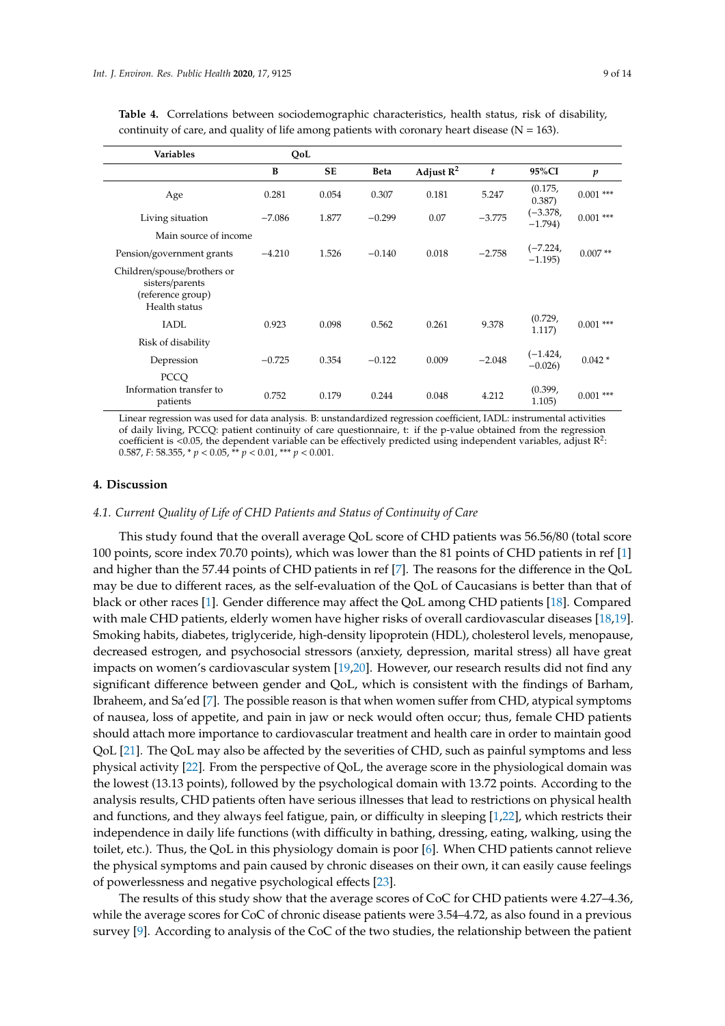| <b>Variables</b>                                                                     | QoL      |           |             |              |          |                        |                          |
|--------------------------------------------------------------------------------------|----------|-----------|-------------|--------------|----------|------------------------|--------------------------|
|                                                                                      | B        | <b>SE</b> | <b>Beta</b> | Adjust $R^2$ | t        | 95%CI                  | $\boldsymbol{p}$         |
| Age                                                                                  | 0.281    | 0.054     | 0.307       | 0.181        | 5.247    | (0.175,<br>0.387       | $0.001$ ***              |
| Living situation                                                                     | $-7.086$ | 1.877     | $-0.299$    | 0.07         | $-3.775$ | $(-3.378,$<br>$-1.794$ | $0.001$ ***              |
| Main source of income                                                                |          |           |             |              |          |                        |                          |
| Pension/government grants                                                            | $-4.210$ | 1.526     | $-0.140$    | 0.018        | $-2.758$ | $(-7.224,$<br>$-1.195$ | $0.007$ $\mathrm{^{**}}$ |
| Children/spouse/brothers or<br>sisters/parents<br>(reference group)<br>Health status |          |           |             |              |          |                        |                          |
| <b>IADL</b>                                                                          | 0.923    | 0.098     | 0.562       | 0.261        | 9.378    | (0.729,<br>1.117)      | $0.001$ ***              |
| Risk of disability                                                                   |          |           |             |              |          |                        |                          |
| Depression                                                                           | $-0.725$ | 0.354     | $-0.122$    | 0.009        | $-2.048$ | $(-1.424,$<br>$-0.026$ | $0.042*$                 |
| PCCO<br>Information transfer to<br>patients                                          | 0.752    | 0.179     | 0.244       | 0.048        | 4.212    | (0.399,<br>1.105)      | $0.001$ ***              |

<span id="page-8-0"></span>**Table 4.** Correlations between sociodemographic characteristics, health status, risk of disability, continuity of care, and quality of life among patients with coronary heart disease ( $N = 163$ ).

Linear regression was used for data analysis. B: unstandardized regression coefficient, IADL: instrumental activities of daily living, PCCQ: patient continuity of care questionnaire, t: if the p-value obtained from the regression coefficient is <0.05, the dependent variable can be effectively predicted using independent variables, adjust  $R^2$ : 0.587, *F*: 58.355, \* *p* < 0.05, \*\* *p* < 0.01, \*\*\* *p* < 0.001.

# **4. Discussion**

#### *4.1. Current Quality of Life of CHD Patients and Status of Continuity of Care*

This study found that the overall average QoL score of CHD patients was 56.56/80 (total score 100 points, score index 70.70 points), which was lower than the 81 points of CHD patients in ref [\[1\]](#page-11-0) and higher than the 57.44 points of CHD patients in ref [\[7\]](#page-11-6). The reasons for the difference in the QoL may be due to different races, as the self-evaluation of the QoL of Caucasians is better than that of black or other races [\[1\]](#page-11-0). Gender difference may affect the QoL among CHD patients [\[18\]](#page-12-10). Compared with male CHD patients, elderly women have higher risks of overall cardiovascular diseases [\[18,](#page-12-10)[19\]](#page-12-11). Smoking habits, diabetes, triglyceride, high-density lipoprotein (HDL), cholesterol levels, menopause, decreased estrogen, and psychosocial stressors (anxiety, depression, marital stress) all have great impacts on women's cardiovascular system [\[19,](#page-12-11)[20\]](#page-12-12). However, our research results did not find any significant difference between gender and QoL, which is consistent with the findings of Barham, Ibraheem, and Sa'ed [\[7\]](#page-11-6). The possible reason is that when women suffer from CHD, atypical symptoms of nausea, loss of appetite, and pain in jaw or neck would often occur; thus, female CHD patients should attach more importance to cardiovascular treatment and health care in order to maintain good QoL [\[21\]](#page-12-13). The QoL may also be affected by the severities of CHD, such as painful symptoms and less physical activity [\[22\]](#page-12-14). From the perspective of QoL, the average score in the physiological domain was the lowest (13.13 points), followed by the psychological domain with 13.72 points. According to the analysis results, CHD patients often have serious illnesses that lead to restrictions on physical health and functions, and they always feel fatigue, pain, or difficulty in sleeping [\[1,](#page-11-0)[22\]](#page-12-14), which restricts their independence in daily life functions (with difficulty in bathing, dressing, eating, walking, using the toilet, etc.). Thus, the QoL in this physiology domain is poor [\[6\]](#page-11-5). When CHD patients cannot relieve the physical symptoms and pain caused by chronic diseases on their own, it can easily cause feelings of powerlessness and negative psychological effects [\[23\]](#page-12-15).

The results of this study show that the average scores of CoC for CHD patients were 4.27–4.36, while the average scores for CoC of chronic disease patients were 3.54–4.72, as also found in a previous survey [\[9\]](#page-12-1). According to analysis of the CoC of the two studies, the relationship between the patient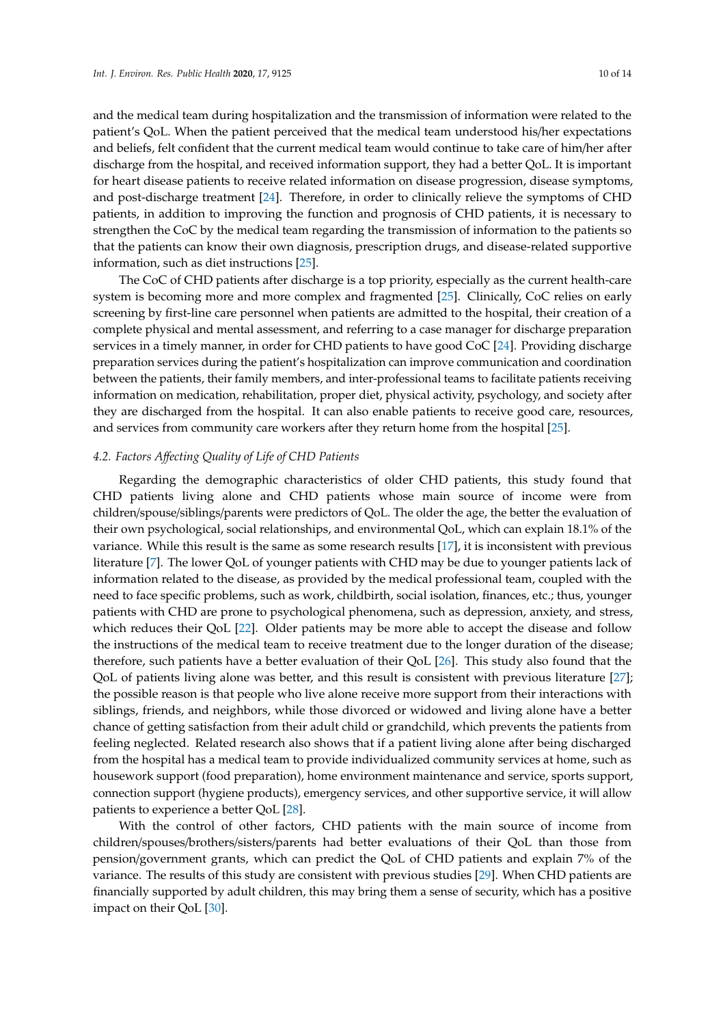and the medical team during hospitalization and the transmission of information were related to the patient's QoL. When the patient perceived that the medical team understood his/her expectations and beliefs, felt confident that the current medical team would continue to take care of him/her after discharge from the hospital, and received information support, they had a better QoL. It is important for heart disease patients to receive related information on disease progression, disease symptoms, and post-discharge treatment [\[24\]](#page-12-16). Therefore, in order to clinically relieve the symptoms of CHD patients, in addition to improving the function and prognosis of CHD patients, it is necessary to strengthen the CoC by the medical team regarding the transmission of information to the patients so that the patients can know their own diagnosis, prescription drugs, and disease-related supportive information, such as diet instructions [\[25\]](#page-12-17).

The CoC of CHD patients after discharge is a top priority, especially as the current health-care system is becoming more and more complex and fragmented [\[25\]](#page-12-17). Clinically, CoC relies on early screening by first-line care personnel when patients are admitted to the hospital, their creation of a complete physical and mental assessment, and referring to a case manager for discharge preparation services in a timely manner, in order for CHD patients to have good CoC [\[24\]](#page-12-16). Providing discharge preparation services during the patient's hospitalization can improve communication and coordination between the patients, their family members, and inter-professional teams to facilitate patients receiving information on medication, rehabilitation, proper diet, physical activity, psychology, and society after they are discharged from the hospital. It can also enable patients to receive good care, resources, and services from community care workers after they return home from the hospital [\[25\]](#page-12-17).

# *4.2. Factors A*ff*ecting Quality of Life of CHD Patients*

Regarding the demographic characteristics of older CHD patients, this study found that CHD patients living alone and CHD patients whose main source of income were from children/spouse/siblings/parents were predictors of QoL. The older the age, the better the evaluation of their own psychological, social relationships, and environmental QoL, which can explain 18.1% of the variance. While this result is the same as some research results [\[17\]](#page-12-9), it is inconsistent with previous literature [\[7\]](#page-11-6). The lower QoL of younger patients with CHD may be due to younger patients lack of information related to the disease, as provided by the medical professional team, coupled with the need to face specific problems, such as work, childbirth, social isolation, finances, etc.; thus, younger patients with CHD are prone to psychological phenomena, such as depression, anxiety, and stress, which reduces their QoL [\[22\]](#page-12-14). Older patients may be more able to accept the disease and follow the instructions of the medical team to receive treatment due to the longer duration of the disease; therefore, such patients have a better evaluation of their QoL [\[26\]](#page-12-18). This study also found that the QoL of patients living alone was better, and this result is consistent with previous literature [\[27\]](#page-12-19); the possible reason is that people who live alone receive more support from their interactions with siblings, friends, and neighbors, while those divorced or widowed and living alone have a better chance of getting satisfaction from their adult child or grandchild, which prevents the patients from feeling neglected. Related research also shows that if a patient living alone after being discharged from the hospital has a medical team to provide individualized community services at home, such as housework support (food preparation), home environment maintenance and service, sports support, connection support (hygiene products), emergency services, and other supportive service, it will allow patients to experience a better QoL [\[28\]](#page-13-0).

With the control of other factors, CHD patients with the main source of income from children/spouses/brothers/sisters/parents had better evaluations of their QoL than those from pension/government grants, which can predict the QoL of CHD patients and explain 7% of the variance. The results of this study are consistent with previous studies [\[29\]](#page-13-1). When CHD patients are financially supported by adult children, this may bring them a sense of security, which has a positive impact on their QoL [\[30\]](#page-13-2).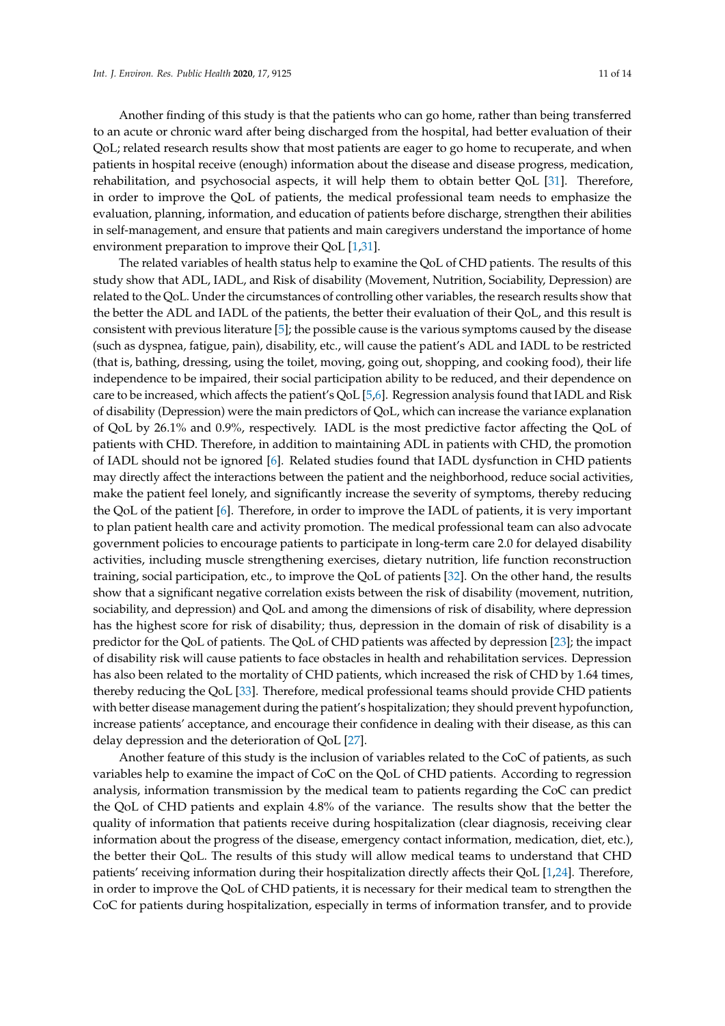Another finding of this study is that the patients who can go home, rather than being transferred to an acute or chronic ward after being discharged from the hospital, had better evaluation of their QoL; related research results show that most patients are eager to go home to recuperate, and when patients in hospital receive (enough) information about the disease and disease progress, medication, rehabilitation, and psychosocial aspects, it will help them to obtain better QoL [\[31\]](#page-13-3). Therefore, in order to improve the QoL of patients, the medical professional team needs to emphasize the evaluation, planning, information, and education of patients before discharge, strengthen their abilities in self-management, and ensure that patients and main caregivers understand the importance of home environment preparation to improve their QoL [\[1,](#page-11-0)[31\]](#page-13-3).

The related variables of health status help to examine the QoL of CHD patients. The results of this study show that ADL, IADL, and Risk of disability (Movement, Nutrition, Sociability, Depression) are related to the QoL. Under the circumstances of controlling other variables, the research results show that the better the ADL and IADL of the patients, the better their evaluation of their QoL, and this result is consistent with previous literature [\[5\]](#page-11-4); the possible cause is the various symptoms caused by the disease (such as dyspnea, fatigue, pain), disability, etc., will cause the patient's ADL and IADL to be restricted (that is, bathing, dressing, using the toilet, moving, going out, shopping, and cooking food), their life independence to be impaired, their social participation ability to be reduced, and their dependence on care to be increased, which affects the patient's QoL [\[5,](#page-11-4)[6\]](#page-11-5). Regression analysis found that IADL and Risk of disability (Depression) were the main predictors of QoL, which can increase the variance explanation of QoL by 26.1% and 0.9%, respectively. IADL is the most predictive factor affecting the QoL of patients with CHD. Therefore, in addition to maintaining ADL in patients with CHD, the promotion of IADL should not be ignored [\[6\]](#page-11-5). Related studies found that IADL dysfunction in CHD patients may directly affect the interactions between the patient and the neighborhood, reduce social activities, make the patient feel lonely, and significantly increase the severity of symptoms, thereby reducing the QoL of the patient [\[6\]](#page-11-5). Therefore, in order to improve the IADL of patients, it is very important to plan patient health care and activity promotion. The medical professional team can also advocate government policies to encourage patients to participate in long-term care 2.0 for delayed disability activities, including muscle strengthening exercises, dietary nutrition, life function reconstruction training, social participation, etc., to improve the QoL of patients [\[32\]](#page-13-4). On the other hand, the results show that a significant negative correlation exists between the risk of disability (movement, nutrition, sociability, and depression) and QoL and among the dimensions of risk of disability, where depression has the highest score for risk of disability; thus, depression in the domain of risk of disability is a predictor for the QoL of patients. The QoL of CHD patients was affected by depression [\[23\]](#page-12-15); the impact of disability risk will cause patients to face obstacles in health and rehabilitation services. Depression has also been related to the mortality of CHD patients, which increased the risk of CHD by 1.64 times, thereby reducing the QoL [\[33\]](#page-13-5). Therefore, medical professional teams should provide CHD patients with better disease management during the patient's hospitalization; they should prevent hypofunction, increase patients' acceptance, and encourage their confidence in dealing with their disease, as this can delay depression and the deterioration of QoL [\[27\]](#page-12-19).

Another feature of this study is the inclusion of variables related to the CoC of patients, as such variables help to examine the impact of CoC on the QoL of CHD patients. According to regression analysis, information transmission by the medical team to patients regarding the CoC can predict the QoL of CHD patients and explain 4.8% of the variance. The results show that the better the quality of information that patients receive during hospitalization (clear diagnosis, receiving clear information about the progress of the disease, emergency contact information, medication, diet, etc.), the better their QoL. The results of this study will allow medical teams to understand that CHD patients' receiving information during their hospitalization directly affects their QoL [\[1](#page-11-0)[,24\]](#page-12-16). Therefore, in order to improve the QoL of CHD patients, it is necessary for their medical team to strengthen the CoC for patients during hospitalization, especially in terms of information transfer, and to provide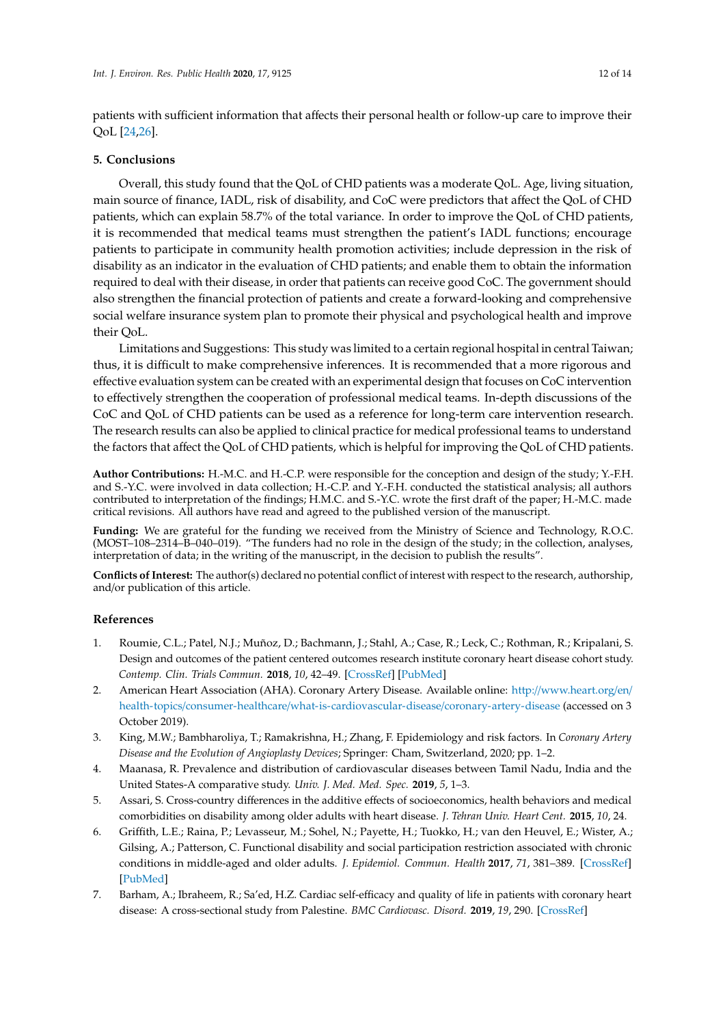patients with sufficient information that affects their personal health or follow-up care to improve their QoL [\[24,](#page-12-16)[26\]](#page-12-18).

# **5. Conclusions**

Overall, this study found that the QoL of CHD patients was a moderate QoL. Age, living situation, main source of finance, IADL, risk of disability, and CoC were predictors that affect the QoL of CHD patients, which can explain 58.7% of the total variance. In order to improve the QoL of CHD patients, it is recommended that medical teams must strengthen the patient's IADL functions; encourage patients to participate in community health promotion activities; include depression in the risk of disability as an indicator in the evaluation of CHD patients; and enable them to obtain the information required to deal with their disease, in order that patients can receive good CoC. The government should also strengthen the financial protection of patients and create a forward-looking and comprehensive social welfare insurance system plan to promote their physical and psychological health and improve their QoL.

Limitations and Suggestions: This study was limited to a certain regional hospital in central Taiwan; thus, it is difficult to make comprehensive inferences. It is recommended that a more rigorous and effective evaluation system can be created with an experimental design that focuses on CoC intervention to effectively strengthen the cooperation of professional medical teams. In-depth discussions of the CoC and QoL of CHD patients can be used as a reference for long-term care intervention research. The research results can also be applied to clinical practice for medical professional teams to understand the factors that affect the QoL of CHD patients, which is helpful for improving the QoL of CHD patients.

**Author Contributions:** H.-M.C. and H.-C.P. were responsible for the conception and design of the study; Y.-F.H. and S.-Y.C. were involved in data collection; H.-C.P. and Y.-F.H. conducted the statistical analysis; all authors contributed to interpretation of the findings; H.M.C. and S.-Y.C. wrote the first draft of the paper; H.-M.C. made critical revisions. All authors have read and agreed to the published version of the manuscript.

**Funding:** We are grateful for the funding we received from the Ministry of Science and Technology, R.O.C. (MOST–108–2314–B–040–019). "The funders had no role in the design of the study; in the collection, analyses, interpretation of data; in the writing of the manuscript, in the decision to publish the results".

**Conflicts of Interest:** The author(s) declared no potential conflict of interest with respect to the research, authorship, and/or publication of this article.

#### **References**

- <span id="page-11-0"></span>1. Roumie, C.L.; Patel, N.J.; Muñoz, D.; Bachmann, J.; Stahl, A.; Case, R.; Leck, C.; Rothman, R.; Kripalani, S. Design and outcomes of the patient centered outcomes research institute coronary heart disease cohort study. *Contemp. Clin. Trials Commun.* **2018**, *10*, 42–49. [\[CrossRef\]](http://dx.doi.org/10.1016/j.conctc.2018.03.001) [\[PubMed\]](http://www.ncbi.nlm.nih.gov/pubmed/29696157)
- <span id="page-11-1"></span>2. American Heart Association (AHA). Coronary Artery Disease. Available online: http://[www.heart.org](http://www.heart.org/en/health-topics/consumer-healthcare/what-is-cardiovascular-disease/coronary-artery-disease)/en/ health-topics/consumer-healthcare/[what-is-cardiovascular-disease](http://www.heart.org/en/health-topics/consumer-healthcare/what-is-cardiovascular-disease/coronary-artery-disease)/coronary-artery-disease (accessed on 3 October 2019).
- <span id="page-11-2"></span>3. King, M.W.; Bambharoliya, T.; Ramakrishna, H.; Zhang, F. Epidemiology and risk factors. In *Coronary Artery Disease and the Evolution of Angioplasty Devices*; Springer: Cham, Switzerland, 2020; pp. 1–2.
- <span id="page-11-3"></span>4. Maanasa, R. Prevalence and distribution of cardiovascular diseases between Tamil Nadu, India and the United States-A comparative study. *Univ. J. Med. Med. Spec.* **2019**, *5*, 1–3.
- <span id="page-11-4"></span>5. Assari, S. Cross-country differences in the additive effects of socioeconomics, health behaviors and medical comorbidities on disability among older adults with heart disease. *J. Tehran Univ. Heart Cent.* **2015**, *10*, 24.
- <span id="page-11-5"></span>6. Griffith, L.E.; Raina, P.; Levasseur, M.; Sohel, N.; Payette, H.; Tuokko, H.; van den Heuvel, E.; Wister, A.; Gilsing, A.; Patterson, C. Functional disability and social participation restriction associated with chronic conditions in middle-aged and older adults. *J. Epidemiol. Commun. Health* **2017**, *71*, 381–389. [\[CrossRef\]](http://dx.doi.org/10.1136/jech-2016-207982) [\[PubMed\]](http://www.ncbi.nlm.nih.gov/pubmed/27754857)
- <span id="page-11-6"></span>7. Barham, A.; Ibraheem, R.; Sa'ed, H.Z. Cardiac self-efficacy and quality of life in patients with coronary heart disease: A cross-sectional study from Palestine. *BMC Cardiovasc. Disord.* **2019**, *19*, 290. [\[CrossRef\]](http://dx.doi.org/10.1186/s12872-019-01281-7)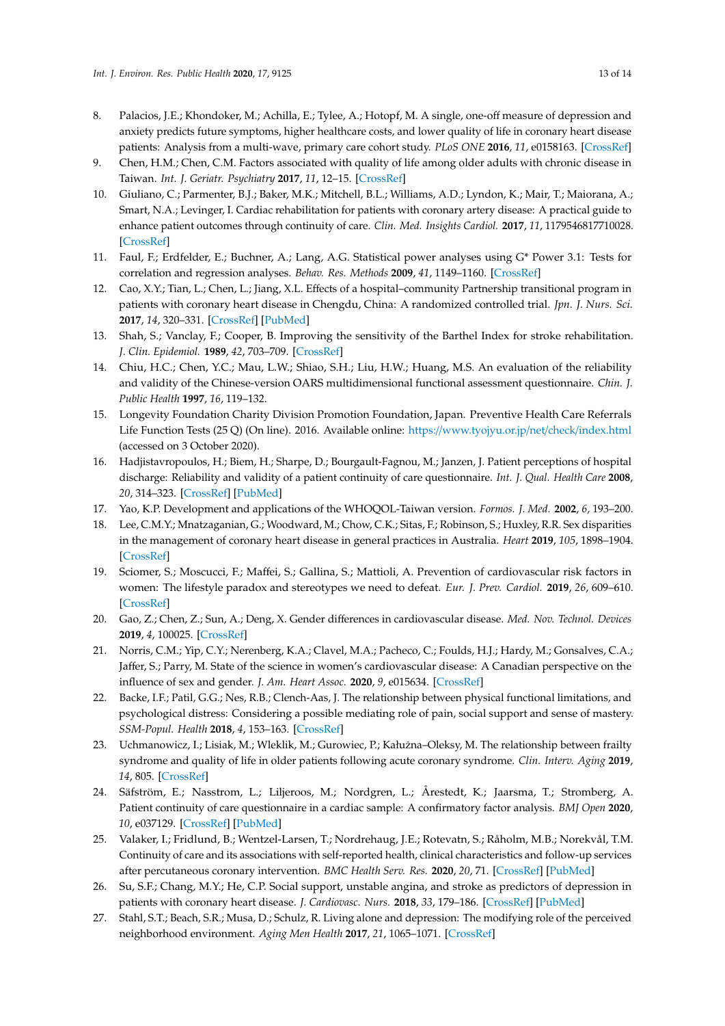- <span id="page-12-0"></span>8. Palacios, J.E.; Khondoker, M.; Achilla, E.; Tylee, A.; Hotopf, M. A single, one-off measure of depression and anxiety predicts future symptoms, higher healthcare costs, and lower quality of life in coronary heart disease patients: Analysis from a multi-wave, primary care cohort study. *PLoS ONE* **2016**, *11*, e0158163. [\[CrossRef\]](http://dx.doi.org/10.1371/journal.pone.0158163)
- <span id="page-12-1"></span>9. Chen, H.M.; Chen, C.M. Factors associated with quality of life among older adults with chronic disease in Taiwan. *Int. J. Geriatr. Psychiatry* **2017**, *11*, 12–15. [\[CrossRef\]](http://dx.doi.org/10.1016/j.ijge.2016.07.002)
- <span id="page-12-2"></span>10. Giuliano, C.; Parmenter, B.J.; Baker, M.K.; Mitchell, B.L.; Williams, A.D.; Lyndon, K.; Mair, T.; Maiorana, A.; Smart, N.A.; Levinger, I. Cardiac rehabilitation for patients with coronary artery disease: A practical guide to enhance patient outcomes through continuity of care. *Clin. Med. Insights Cardiol.* **2017**, *11*, 1179546817710028. [\[CrossRef\]](http://dx.doi.org/10.1177/1179546817710028)
- <span id="page-12-3"></span>11. Faul, F.; Erdfelder, E.; Buchner, A.; Lang, A.G. Statistical power analyses using G\* Power 3.1: Tests for correlation and regression analyses. *Behav. Res. Methods* **2009**, *41*, 1149–1160. [\[CrossRef\]](http://dx.doi.org/10.3758/BRM.41.4.1149)
- <span id="page-12-4"></span>12. Cao, X.Y.; Tian, L.; Chen, L.; Jiang, X.L. Effects of a hospital–community Partnership transitional program in patients with coronary heart disease in Chengdu, China: A randomized controlled trial. *Jpn. J. Nurs. Sci.* **2017**, *14*, 320–331. [\[CrossRef\]](http://dx.doi.org/10.1111/jjns.12160) [\[PubMed\]](http://www.ncbi.nlm.nih.gov/pubmed/28150384)
- <span id="page-12-5"></span>13. Shah, S.; Vanclay, F.; Cooper, B. Improving the sensitivity of the Barthel Index for stroke rehabilitation. *J. Clin. Epidemiol.* **1989**, *42*, 703–709. [\[CrossRef\]](http://dx.doi.org/10.1016/0895-4356(89)90065-6)
- <span id="page-12-6"></span>14. Chiu, H.C.; Chen, Y.C.; Mau, L.W.; Shiao, S.H.; Liu, H.W.; Huang, M.S. An evaluation of the reliability and validity of the Chinese-version OARS multidimensional functional assessment questionnaire. *Chin. J. Public Health* **1997**, *16*, 119–132.
- <span id="page-12-7"></span>15. Longevity Foundation Charity Division Promotion Foundation, Japan. Preventive Health Care Referrals Life Function Tests (25 Q) (On line). 2016. Available online: https://[www.tyojyu.or.jp](https://www.tyojyu.or.jp/net/check/index.html)/net/check/index.html (accessed on 3 October 2020).
- <span id="page-12-8"></span>16. Hadjistavropoulos, H.; Biem, H.; Sharpe, D.; Bourgault-Fagnou, M.; Janzen, J. Patient perceptions of hospital discharge: Reliability and validity of a patient continuity of care questionnaire. *Int. J. Qual. Health Care* **2008**, *20*, 314–323. [\[CrossRef\]](http://dx.doi.org/10.1093/intqhc/mzn030) [\[PubMed\]](http://www.ncbi.nlm.nih.gov/pubmed/18635587)
- <span id="page-12-9"></span>17. Yao, K.P. Development and applications of the WHOQOL-Taiwan version. *Formos. J. Med.* **2002**, *6*, 193–200.
- <span id="page-12-10"></span>18. Lee, C.M.Y.; Mnatzaganian, G.; Woodward, M.; Chow, C.K.; Sitas, F.; Robinson, S.; Huxley, R.R. Sex disparities in the management of coronary heart disease in general practices in Australia. *Heart* **2019**, *105*, 1898–1904. [\[CrossRef\]](http://dx.doi.org/10.1136/heartjnl-2019-315134)
- <span id="page-12-11"></span>19. Sciomer, S.; Moscucci, F.; Maffei, S.; Gallina, S.; Mattioli, A. Prevention of cardiovascular risk factors in women: The lifestyle paradox and stereotypes we need to defeat. *Eur. J. Prev. Cardiol.* **2019**, *26*, 609–610. [\[CrossRef\]](http://dx.doi.org/10.1177/2047487318810560)
- <span id="page-12-12"></span>20. Gao, Z.; Chen, Z.; Sun, A.; Deng, X. Gender differences in cardiovascular disease. *Med. Nov. Technol. Devices* **2019**, *4*, 100025. [\[CrossRef\]](http://dx.doi.org/10.1016/j.medntd.2019.100025)
- <span id="page-12-13"></span>21. Norris, C.M.; Yip, C.Y.; Nerenberg, K.A.; Clavel, M.A.; Pacheco, C.; Foulds, H.J.; Hardy, M.; Gonsalves, C.A.; Jaffer, S.; Parry, M. State of the science in women's cardiovascular disease: A Canadian perspective on the influence of sex and gender. *J. Am. Heart Assoc.* **2020**, *9*, e015634. [\[CrossRef\]](http://dx.doi.org/10.1161/JAHA.119.015634)
- <span id="page-12-14"></span>22. Backe, I.F.; Patil, G.G.; Nes, R.B.; Clench-Aas, J. The relationship between physical functional limitations, and psychological distress: Considering a possible mediating role of pain, social support and sense of mastery. *SSM-Popul. Health* **2018**, *4*, 153–163. [\[CrossRef\]](http://dx.doi.org/10.1016/j.ssmph.2017.12.005)
- <span id="page-12-15"></span>23. Uchmanowicz, I.; Lisiak, M.; Wleklik, M.; Gurowiec, P.; Kałużna–Oleksy, M. The relationship between frailty syndrome and quality of life in older patients following acute coronary syndrome. *Clin. Interv. Aging* **2019**, *14*, 805. [\[CrossRef\]](http://dx.doi.org/10.2147/CIA.S204121)
- <span id="page-12-16"></span>24. Säfström, E.; Nasstrom, L.; Liljeroos, M.; Nordgren, L.; Årestedt, K.; Jaarsma, T.; Stromberg, A. Patient continuity of care questionnaire in a cardiac sample: A confirmatory factor analysis. *BMJ Open* **2020**, *10*, e037129. [\[CrossRef\]](http://dx.doi.org/10.1136/bmjopen-2020-037129) [\[PubMed\]](http://www.ncbi.nlm.nih.gov/pubmed/32641363)
- <span id="page-12-17"></span>25. Valaker, I.; Fridlund, B.; Wentzel-Larsen, T.; Nordrehaug, J.E.; Rotevatn, S.; Råholm, M.B.; Norekvål, T.M. Continuity of care and its associations with self-reported health, clinical characteristics and follow-up services after percutaneous coronary intervention. *BMC Health Serv. Res.* **2020**, *20*, 71. [\[CrossRef\]](http://dx.doi.org/10.1186/s12913-020-4908-1) [\[PubMed\]](http://www.ncbi.nlm.nih.gov/pubmed/32005235)
- <span id="page-12-18"></span>26. Su, S.F.; Chang, M.Y.; He, C.P. Social support, unstable angina, and stroke as predictors of depression in patients with coronary heart disease. *J. Cardiovasc. Nurs.* **2018**, *33*, 179–186. [\[CrossRef\]](http://dx.doi.org/10.1097/JCN.0000000000000419) [\[PubMed\]](http://www.ncbi.nlm.nih.gov/pubmed/28489724)
- <span id="page-12-19"></span>27. Stahl, S.T.; Beach, S.R.; Musa, D.; Schulz, R. Living alone and depression: The modifying role of the perceived neighborhood environment. *Aging Men Health* **2017**, *21*, 1065–1071. [\[CrossRef\]](http://dx.doi.org/10.1080/13607863.2016.1191060)